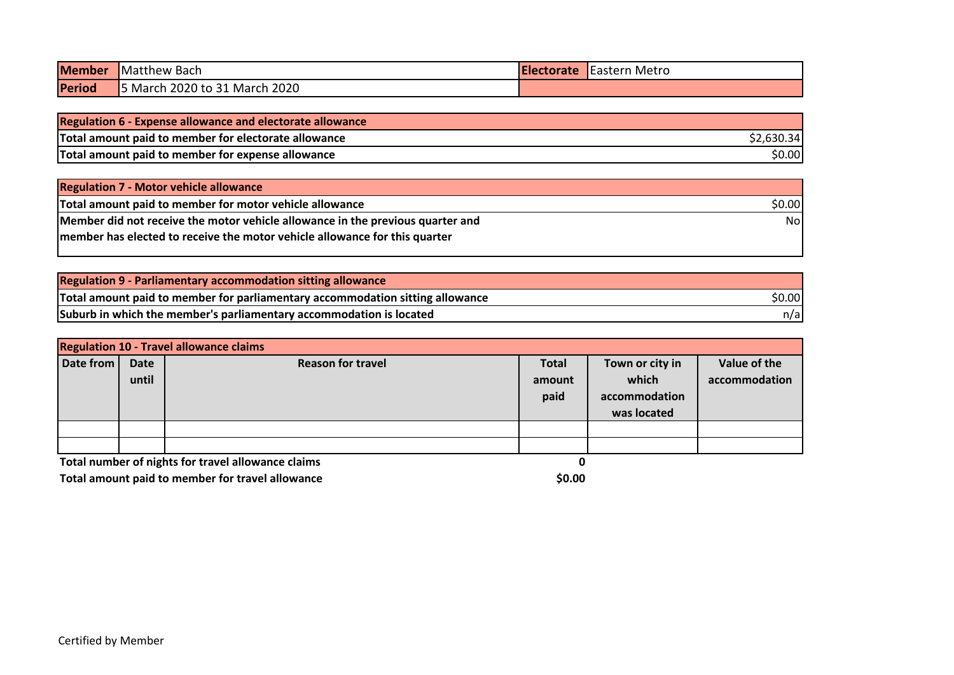| <b>Member</b> | <b>Matthew Bach</b>           | <b>IElectorate</b> | <b>Eastern Metro</b> |
|---------------|-------------------------------|--------------------|----------------------|
| Period        | 5 March 2020 to 31 March 2020 |                    |                      |

| Regulation 6 - Expense allowance and electorate allowance |            |
|-----------------------------------------------------------|------------|
| Total amount paid to member for electorate allowance      | \$2.630.34 |
| Total amount paid to member for expense allowance         | \$0.00     |

| <b>Regulation 7 - Motor vehicle allowance</b>                                  |        |
|--------------------------------------------------------------------------------|--------|
| Total amount paid to member for motor vehicle allowance                        | \$0.00 |
| Member did not receive the motor vehicle allowance in the previous quarter and | No.    |
| member has elected to receive the motor vehicle allowance for this quarter     |        |
|                                                                                |        |

| <b>Regulation 9 - Parliamentary accommodation sitting allowance</b>           |        |
|-------------------------------------------------------------------------------|--------|
| Total amount paid to member for parliamentary accommodation sitting allowance | \$0.00 |
| Suburb in which the member's parliamentary accommodation is located           | n/al   |

| <b>Regulation 10 - Travel allowance claims</b> |                      |                                                    |                                |                                                          |                               |  |
|------------------------------------------------|----------------------|----------------------------------------------------|--------------------------------|----------------------------------------------------------|-------------------------------|--|
| Date from                                      | <b>Date</b><br>until | <b>Reason for travel</b>                           | <b>Total</b><br>amount<br>paid | Town or city in<br>which<br>accommodation<br>was located | Value of the<br>accommodation |  |
|                                                |                      |                                                    |                                |                                                          |                               |  |
|                                                |                      | Total number of nights for travel allowance claims | O                              |                                                          |                               |  |

**Total amount paid to member for travel allowance <b>10.00 10.00 10.00 10.00**